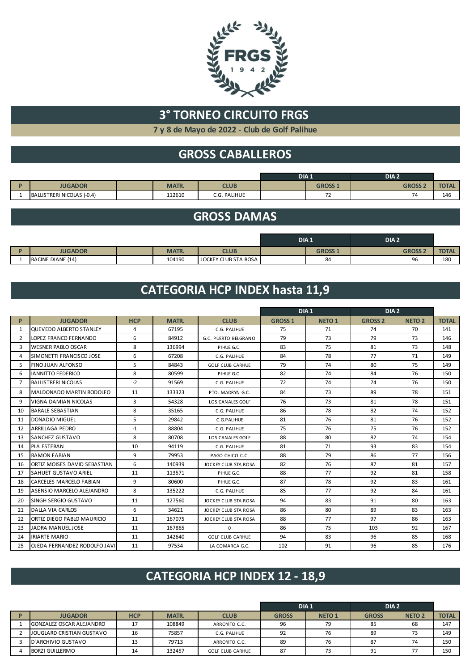

#### **3° TORNEO CIRCUITO FRGS**

**7 y 8 de Mayo de 2022 - Club de Golf Palihue**

#### **GROSS CABALLEROS**

|                            |              |                   | DIA <sub>1</sub> |                | DIA <sub>2</sub> |                |              |
|----------------------------|--------------|-------------------|------------------|----------------|------------------|----------------|--------------|
| <b>JUGADOR</b>             | <b>MATR.</b> | CLUB              |                  | <b>GROSS 1</b> |                  | <b>GROSS 2</b> | <b>TOTAL</b> |
| BALLISTRERI NICOLAS (-0.4) | 112610       | . PALIHUE<br>C.G. |                  | <u>.</u>       |                  | 71             | 146          |

### **GROSS DAMAS**

|                |                   |              |                      | DIA <sub>1</sub> |                | DIA <sub>2</sub> |                |              |
|----------------|-------------------|--------------|----------------------|------------------|----------------|------------------|----------------|--------------|
| п.<br><b>D</b> | <b>JUGADOR</b>    | <b>MATR.</b> | CLUB                 |                  | <b>GROSS 1</b> |                  | <b>GROSS 2</b> | <b>TOTAL</b> |
|                | RACINE DIANE (14) | 104190       | JOCKEY CLUB STA ROSA |                  | 84             |                  | 96             | 180          |

## **CATEGORIA HCP INDEX hasta 11,9**

|    |                                |            |        |                         | DIA <sub>1</sub> |               | DIA <sub>2</sub> |               |              |
|----|--------------------------------|------------|--------|-------------------------|------------------|---------------|------------------|---------------|--------------|
| P  | <b>JUGADOR</b>                 | <b>HCP</b> | MATR.  | <b>CLUB</b>             | <b>GROSS 1</b>   | <b>NETO 1</b> | <b>GROSS 2</b>   | <b>NETO 2</b> | <b>TOTAL</b> |
| 1  | <b>OUEVEDO ALBERTO STANLEY</b> | 4          | 67195  | C.G. PALIHUE            | 75               | 71            | 74               | 70            | 141          |
| 2  | LOPEZ FRANCO FERNANDO          | 6          | 84912  | G.C. PUERTO BELGRANO    | 79               | 73            | 79               | 73            | 146          |
| 3  | <b>WESNER PABLO OSCAR</b>      | 8          | 136994 | PIHUE G.C.              | 83               | 75            | 81               | 73            | 148          |
| 4  | SIMONETTI FRANCISCO JOSE       | 6          | 67208  | C.G. PALIHUE            | 84               | 78            | 77               | 71            | 149          |
| 5  | <b>FINO JUAN ALFONSO</b>       | 5          | 84843  | <b>GOLF CLUB CARHUE</b> | 79               | 74            | 80               | 75            | 149          |
| 6  | <b>IANNITTO FEDERICO</b>       | 8          | 80599  | PIHUE G.C.              | 82               | 74            | 84               | 76            | 150          |
|    | <b>BALLISTRERI NICOLAS</b>     | $-2$       | 91569  | C.G. PALIHUE            | 72               | 74            | 74               | 76            | 150          |
| 8  | MALDONADO MARTIN RODOLFO       | 11         | 133323 | PTO. MADRYN G.C.        | 84               | 73            | 89               | 78            | 151          |
| q  | VIGNA DAMIAN NICOLAS           | 3          | 54328  | LOS CANALES GOLF        | 76               | 73            | 81               | 78            | 151          |
| 10 | <b>BARALE SEBASTIAN</b>        | 8          | 35165  | C.G. PALIHUE            | 86               | 78            | 82               | 74            | 152          |
| 11 | <b>DONADIO MIGUEL</b>          | 5          | 29842  | C.G.PALIHUE             | 81               | 76            | 81               | 76            | 152          |
| 12 | <b>ARRILLAGA PEDRO</b>         | $-1$       | 88804  | C.G. PALIHUE            | 75               | 76            | 75               | 76            | 152          |
| 13 | <b>SANCHEZ GUSTAVO</b>         | 8          | 80708  | LOS CANALES GOLF        | 88               | 80            | 82               | 74            | 154          |
| 14 | <b>PLA ESTEBAN</b>             | 10         | 94119  | C.G. PALIHUE            | 81               | 71            | 93               | 83            | 154          |
| 15 | <b>RAMON FABIAN</b>            | 9          | 79953  | PAGO CHICO C.C.         | 88               | 79            | 86               | 77            | 156          |
| 16 | ORTIZ MOISES DAVID SEBASTIAN   | 6          | 140939 | JOCKEY CLUB STA ROSA    | 82               | 76            | 87               | 81            | 157          |
| 17 | <b>SAHUET GUSTAVO ARIEL</b>    | 11         | 113571 | PIHUE G.C.              | 88               | 77            | 92               | 81            | 158          |
| 18 | <b>CARCELES MARCELO FABIAN</b> | 9          | 80600  | PIHUE G.C.              | 87               | 78            | 92               | 83            | 161          |
| 19 | ASENSIO MARCELO ALEJANDRO      | 8          | 135222 | C.G. PALIHUE            | 85               | 77            | 92               | 84            | 161          |
| 20 | SINGH SERGIO GUSTAVO           | 11         | 127560 | JOCKEY CLUB STA ROSA    | 94               | 83            | 91               | 80            | 163          |
| 21 | DALLA VIA CARLOS               | 6          | 34621  | JOCKEY CLUB STA ROSA    | 86               | 80            | 89               | 83            | 163          |
| 22 | ORTIZ DIEGO PABLO MAURICIO     | 11         | 167075 | JOCKEY CLUB STA ROSA    | 88               | 77            | 97               | 86            | 163          |
| 23 | JADRA MANUEL JOSE              | 11         | 167865 | $\Omega$                | 86               | 75            | 103              | 92            | 167          |
| 24 | <b>IRIARTE MARIO</b>           | 11         | 142640 | <b>GOLF CLUB CARHUE</b> | 94               | 83            | 96               | 85            | 168          |
| 25 | OJEDA FERNANDEZ RODOLFO JAVII  | 11         | 97534  | LA COMARCA G.C.         | 102              | 91            | 96               | 85            | 176          |

## **CATEGORIA HCP INDEX 12 - 18,9**

|                                  |            |        |                         | DIA <sub>1</sub> |               | DIA <sub>2</sub> |               |              |
|----------------------------------|------------|--------|-------------------------|------------------|---------------|------------------|---------------|--------------|
| <b>JUGADOR</b>                   | <b>HCP</b> | MATR.  | <b>CLUB</b>             | <b>GROSS</b>     | <b>NETO 1</b> | <b>GROSS</b>     | <b>NETO 2</b> | <b>TOTAL</b> |
| <b>GONZALEZ OSCAR ALEJANDRO</b>  |            | 108849 | ARROYITO C.C.           | 96               | 79            | 85               | 68            | 147          |
| <b>JOUGLARD CRISTIAN GUSTAVO</b> | 16         | 75857  | C.G. PALIHUE            | 92               | 76            | 89               |               | 149          |
| D'ARCHIVIO GUSTAVO               | 13         | 79713  | ARROYITO C.C.           | 89               | 76            | 87               |               | 150          |
| BORZI GUILLERMO                  | 14         | 132457 | <b>GOLF CLUB CARHUE</b> | 87               |               | 91               |               | 150          |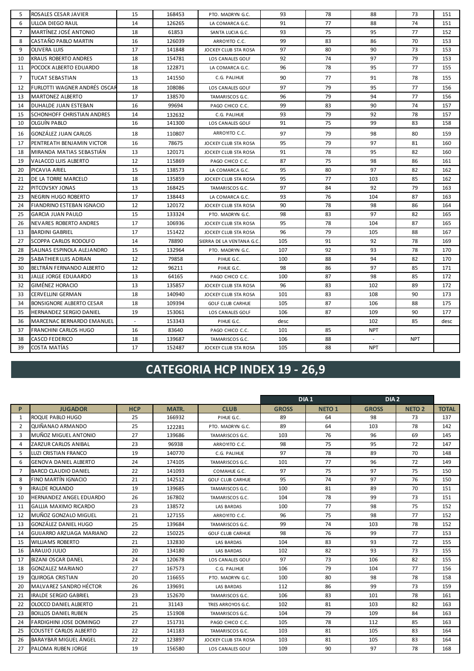| 5              | ROSALES CESAR JAVIER             | 15 | 168453 | PTO. MADRYN G.C.         | 93   | 78 | 88         | 73         | 151  |
|----------------|----------------------------------|----|--------|--------------------------|------|----|------------|------------|------|
| 6              | ULLOA DIEGO RAUL                 | 14 | 126265 | LA COMARCA G.C.          | 91   | 77 | 88         | 74         | 151  |
| $\overline{7}$ | MARTÍNEZ JOSÉ ANTONIO            | 18 | 61853  | SANTA LUCIA G.C.         | 93   | 75 | 95         | 77         | 152  |
| 8              | CASTAÑO PABLO MARTIN             | 16 | 126039 | ARROYITO C.C.            | 99   | 83 | 86         | 70         | 153  |
| 9              | OLIVERA LUIS                     | 17 | 141848 | JOCKEY CLUB STA ROSA     | 97   | 80 | 90         | 73         | 153  |
| 10             | <b>KRAUS ROBERTO ANDRES</b>      | 18 | 154781 | LOS CANALES GOLF         | 92   | 74 | 97         | 79         | 153  |
| 11             | POCOCK ALBERTO EDUARDO           | 18 | 122871 | LA COMARCA G.C.          | 96   | 78 | 95         | 77         | 155  |
| $\overline{7}$ | TUCAT SEBASTIAN                  | 13 | 141550 | C.G. PALIHUE             | 90   | 77 | 91         | 78         | 155  |
| 12             | FURLOTTI WAGNER ANDRÉS OSCAR     | 18 | 108086 | LOS CANALES GOLF         | 97   | 79 | 95         | 77         | 156  |
| 13             | <b>MARTONEZ ALBERTO</b>          | 17 | 138570 | TAMARISCOS G.C.          | 96   | 79 | 94         | 77         | 156  |
| 14             | <b>DUHALDE JUAN ESTEBAN</b>      | 16 | 99694  | PAGO CHICO C.C.          | 99   | 83 | 90         | 74         | 157  |
| 15             | SCHONHOFF CHRISTIAN ANDRES       | 14 | 132632 | C.G. PALIHUE             | 93   | 79 | 92         | 78         | 157  |
| 10             | OLGUÍN PABLO                     | 16 | 141300 | LOS CANALES GOLF         | 91   | 75 | 99         | 83         | 158  |
| 16             | <b>GONZÁLEZ JUAN CARLOS</b>      | 18 | 110807 | ARROYITO C.C.            | 97   | 79 | 98         | 80         | 159  |
| 17             | PENTREATH BENJAMIN VICTOR        | 16 | 78675  | JOCKEY CLUB STA ROSA     | 95   | 79 | 97         | 81         | 160  |
| 18             | MIRANDA MATIAS SEBASTIAN         | 13 | 120171 | JOCKEY CLUB STA ROSA     | 91   | 78 | 95         | 82         | 160  |
| 19             | <b>VALACCO LUIS ALBERTO</b>      | 12 | 115869 | PAGO CHICO C.C.          | 87   | 75 | 98         | 86         | 161  |
| 20             | PICAVIA ARIEL                    | 15 | 138573 | LA COMARCA G.C.          | 95   | 80 | 97         | 82         | 162  |
| 21             | DE LA TORRE MARCELO              | 18 | 135859 | JOCKEY CLUB STA ROSA     | 95   | 77 | 103        | 85         | 162  |
| 22             | PITCOVSKY JONAS                  | 13 | 168425 | TAMARISCOS G.C.          | 97   | 84 | 92         | 79         | 163  |
| 23             | NEGRIN HUGO ROBERTO              | 17 | 138443 | LA COMARCA G.C.          | 93   | 76 | 104        | 87         | 163  |
| 24             | <b>FIANDRINO ESTEBAN IGNACIO</b> | 12 | 120172 | JOCKEY CLUB STA ROSA     | 90   | 78 | 98         | 86         | 164  |
| 25             | <b>GARCIA JUAN PAULO</b>         | 15 | 133324 | PTO. MADRYN G.C.         | 98   | 83 | 97         | 82         | 165  |
| 26             | <b>NEVARES ROBERTO ANDRES</b>    | 17 | 106936 | JOCKEY CLUB STA ROSA     | 95   | 78 | 104        | 87         | 165  |
| 13             | <b>BARDINI GABRIEL</b>           | 17 | 151422 | JOCKEY CLUB STA ROSA     | 96   | 79 | 105        | 88         | 167  |
| 27             | SCOPPA CARLOS RODOLFO            | 14 | 78890  | SIERRA DE LA VENTANA G.C | 105  | 91 | 92         | 78         | 169  |
| 28             | SALINAS ESPINOLA ALEJANDRO       | 15 | 132964 | PTO. MADRYN G.C.         | 107  | 92 | 93         | 78         | 170  |
| 29             | <b>SABATHIER LUIS ADRIAN</b>     | 12 | 79858  | PIHUE G.C.               | 100  | 88 | 94         | 82         | 170  |
| 30             | BELTRÁN FERNANDO ALBERTO         | 12 | 96211  | PIHUE G.C.               | 98   | 86 | 97         | 85         | 171  |
| 31             | JALLE JORGE EDUAARDO             | 13 | 64165  | PAGO CHICO C.C.          | 100  | 87 | 98         | 85         | 172  |
| 32             | <b>GIMÉNEZ HORACIO</b>           | 13 | 135857 | JOCKEY CLUB STA ROSA     | 96   | 83 | 102        | 89         | 172  |
| 33             | <b>CERVELLINI GERMAN</b>         | 18 | 140940 | JOCKEY CLUB STA ROSA     | 101  | 83 | 108        | 90         | 173  |
| 34             | <b>BONSIGNORE ALBERTO CESAR</b>  | 18 | 109394 | <b>GOLF CLUB CARHUE</b>  | 105  | 87 | 106        | 88         | 175  |
| 35             | <b>HERNANDEZ SERGIO DANIEL</b>   | 19 | 153061 | LOS CANALES GOLF         | 106  | 87 | 109        | 90         | 177  |
| 36             | MARCENAC BERNARDO EMANUEL        | ×. | 153343 | PIHUE G.C.               | desc |    | 102        | 85         | desc |
| 37             | <b>FRANCHINI CARLOS HUGO</b>     | 16 | 83640  | PAGO CHICO C.C.          | 101  | 85 | <b>NPT</b> |            |      |
| 38             | <b>CASCO FEDERICO</b>            | 18 | 139687 | TAMARISCOS G.C.          | 106  | 88 |            | <b>NPT</b> |      |
| 39             | COSTA MATÍAS                     | 17 | 152487 | JOCKEY CLUB STA ROSA     | 105  | 88 | <b>NPT</b> |            |      |

# **CATEGORIA HCP INDEX 19 - 26,9**

|                |                                |            |        |                         | DIA <sub>1</sub> |               | DIA <sub>2</sub> |               |              |
|----------------|--------------------------------|------------|--------|-------------------------|------------------|---------------|------------------|---------------|--------------|
| P              | <b>JUGADOR</b>                 | <b>HCP</b> | MATR.  | <b>CLUB</b>             | <b>GROSS</b>     | <b>NETO 1</b> | <b>GROSS</b>     | <b>NETO 2</b> | <b>TOTAL</b> |
| 1              | ROOUE PABLO HUGO               | 25         | 166932 | PIHUE G.C.              | 89               | 64            | 98               | 73            | 137          |
| 2              | OUIÑANAO ARMANDO               | 25         | 122281 | PTO. MADRYN G.C.        | 89               | 64            | 103              | 78            | 142          |
| 3              | MUÑOZ MIGUEL ANTONIO           | 27         | 139686 | TAMARISCOS G.C.         | 103              | 76            | 96               | 69            | 145          |
| 4              | ZARZUR CARLOS ANIBAL           | 23         | 96938  | ARROYITO C.C.           | 98               | 75            | 95               | 72            | 147          |
| 5              | <b>LUZI CRISTIAN FRANCO</b>    | 19         | 140770 | C.G. PALIHUE            | 97               | 78            | 89               | 70            | 148          |
| 6              | <b>GENOVA DANIEL ALBERTO</b>   | 24         | 174105 | TAMARISCOS G.C.         | 101              | 77            | 96               | 72            | 149          |
| $\overline{7}$ | <b>BARCO CLAUDIO DANIEL</b>    | 22         | 141093 | COMAHUE G.C.            | 97               | 75            | 97               | 75            | 150          |
| 8              | FINO MARTÍN IGNACIO            | 21         | 142512 | <b>GOLF CLUB CARHUE</b> | 95               | 74            | 97               | 76            | 150          |
| 9              | <b>IRALDE ROLANDO</b>          | 19         | 139685 | TAMARISCOS G.C.         | 100              | 81            | 89               | 70            | 151          |
| 10             | HERNANDEZ ANGEL EDUARDO        | 26         | 167802 | TAMARISCOS G.C.         | 104              | 78            | 99               | 73            | 151          |
| 11             | GALLIA MAXIMO RICARDO          | 23         | 138572 | <b>LAS BARDAS</b>       | 100              | 77            | 98               | 75            | 152          |
| 12             | MUÑOZ GONZALO MIGUEL           | 21         | 127155 | ARROYITO C.C.           | 96               | 75            | 98               | 77            | 152          |
| 13             | GONZÁLEZ DANIEL HUGO           | 25         | 139684 | TAMARISCOS G.C.         | 99               | 74            | 103              | 78            | 152          |
| 14             | GUIJARRO ARZUAGA MARIANO       | 22         | 150225 | <b>GOLF CLUB CARHUE</b> | 98               | 76            | 99               | 77            | 153          |
| 15             | <b>WILLIAMS ROBERTO</b>        | 21         | 132830 | <b>LAS BARDAS</b>       | 104              | 83            | 93               | 72            | 155          |
| 16             | ARAUJO JULIO                   | 20         | 134180 | <b>LAS BARDAS</b>       | 102              | 82            | 93               | 73            | 155          |
| 17             | <b>BIZANI OSCAR DANEL</b>      | 24         | 120678 | LOS CANALES GOLF        | 97               | 73            | 106              | 82            | 155          |
| 18             | <b>GONZALEZ MARIANO</b>        | 27         | 167573 | C.G. PALIHUE            | 106              | 79            | 104              | 77            | 156          |
| 19             | <b>QUIROGA CRISTIAN</b>        | 20         | 116655 | PTO. MADRYN G.C.        | 100              | 80            | 98               | 78            | 158          |
| 20             | MALVAREZ SANDRO HÉCTOR         | 26         | 139691 | <b>LAS BARDAS</b>       | 112              | 86            | 99               | 73            | 159          |
| 21             | <b>IRALDE SERGIO GABRIEL</b>   | 23         | 152670 | TAMARISCOS G.C.         | 106              | 83            | 101              | 78            | 161          |
| 22             | OLOCCO DANIEL ALBERTO          | 21         | 31143  | TRES ARROYOS G.C.       | 102              | 81            | 103              | 82            | 163          |
| 23             | <b>BOILLOS DANIEL RUBEN</b>    | 25         | 151908 | TAMARISCOS G.C.         | 104              | 79            | 109              | 84            | 163          |
| 24             | <b>FARDIGHINI JOSE DOMINGO</b> | 27         | 151731 | PAGO CHICO C.C.         | 105              | 78            | 112              | 85            | 163          |
| 25             | COUSTET CARLOS ALBERTO         | 22         | 141183 | TAMARISCOS G.C.         | 103              | 81            | 105              | 83            | 164          |
| 26             | BARAYBAR MIGUEL ÁNGEL          | 22         | 123897 | JOCKEY CLUB STA ROSA    | 103              | 81            | 105              | 83            | 164          |
| 27             | PALOMA RUBEN JORGE             | 19         | 156580 | LOS CANALES GOLF        | 109              | 90            | 97               | 78            | 168          |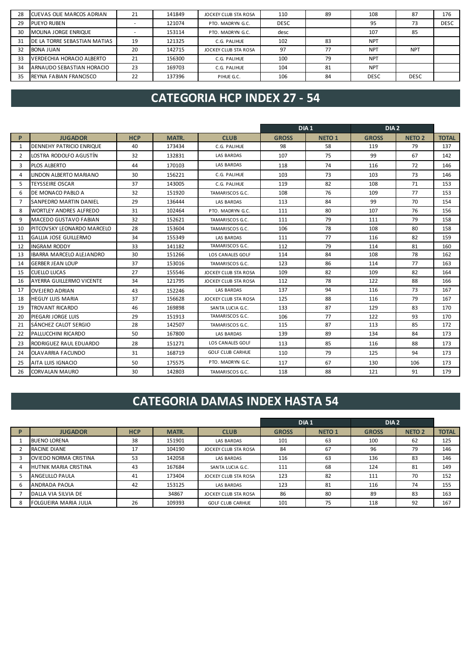| 28 | <b>CUEVAS OLIE MARCOS ADRIAN</b> | 21 | 141849 | JOCKEY CLUB STA ROSA | 110         | 89 | 108         | 87          | 176         |
|----|----------------------------------|----|--------|----------------------|-------------|----|-------------|-------------|-------------|
| 29 | <b>PUEYO RUBEN</b>               |    | 121074 | PTO. MADRYN G.C.     | <b>DESC</b> |    | 95          | 73          | <b>DESC</b> |
| 30 | MOLINA JORGE ENRIQUE             |    | 153114 | PTO. MADRYN G.C.     | desc        |    | 107         | 85          |             |
| 31 | DE LA TORRE SEBASTIAN MATIAS     | 19 | 121325 | C.G. PALIHUE         | 102         | 83 | <b>NPT</b>  |             |             |
| 32 | <b>BONA JUAN</b>                 | 20 | 142715 | JOCKEY CLUB STA ROSA | 97          | 77 | <b>NPT</b>  | <b>NPT</b>  |             |
| 33 | <b>VERDECHIA HORACIO ALBERTO</b> | 21 | 156300 | C.G. PALIHUE         | 100         | 79 | <b>NPT</b>  |             |             |
| 34 | ARNAUDO SEBASTIAN HORACIO        | 23 | 169703 | C.G. PALIHUE         | 104         | 81 | <b>NPT</b>  |             |             |
| 35 | <b>REYNA FABIAN FRANCISCO</b>    | 22 | 137396 | PIHUE G.C.           | 106         | 84 | <b>DESC</b> | <b>DESC</b> |             |

## **CATEGORIA HCP INDEX 27 - 54**

|                |                                 |            |              |                         | DIA <sub>1</sub> |               | DIA <sub>2</sub> |               |              |
|----------------|---------------------------------|------------|--------------|-------------------------|------------------|---------------|------------------|---------------|--------------|
| P              | <b>JUGADOR</b>                  | <b>HCP</b> | <b>MATR.</b> | <b>CLUB</b>             | <b>GROSS</b>     | <b>NETO 1</b> | <b>GROSS</b>     | <b>NETO 2</b> | <b>TOTAL</b> |
| 1              | <b>DENNEHY PATRICIO ENRIQUE</b> | 40         | 173434       | C.G. PALIHUE            | 98               | 58            | 119              | 79            | 137          |
| 2              | LOSTRA RODOLFO AGUSTÍN          | 32         | 132831       | <b>LAS BARDAS</b>       | 107              | 75            | 99               | 67            | 142          |
| 3              | PLOS ALBERTO                    | 44         | 170103       | <b>LAS BARDAS</b>       | 118              | 74            | 116              | 72            | 146          |
| 4              | LINDON ALBERTO MARIANO          | 30         | 156221       | C.G. PALIHUE            | 103              | 73            | 103              | 73            | 146          |
| 5              | <b>TEYSSEIRE OSCAR</b>          | 37         | 143005       | C.G. PALIHUE            | 119              | 82            | 108              | 71            | 153          |
| 6              | DE MONACO PABLO A               | 32         | 151920       | TAMARISCOS G.C.         | 108              | 76            | 109              | 77            | 153          |
| $\overline{7}$ | SANPEDRO MARTIN DANIEL          | 29         | 136444       | <b>LAS BARDAS</b>       | 113              | 84            | 99               | 70            | 154          |
| 8              | <b>WORTLEY ANDRES ALFREDO</b>   | 31         | 102464       | PTO. MADRYN G.C.        | 111              | 80            | 107              | 76            | 156          |
| 9              | MACEDO GUSTAVO FABIAN           | 32         | 152621       | TAMARISCOS G.C.         | 111              | 79            | 111              | 79            | 158          |
| 10             | PITCOVSKY LEONARDO MARCELO      | 28         | 153604       | TAMARISCOS G.C.         | 106              | 78            | 108              | 80            | 158          |
| 11             | GALLIA JOSE GUILLERMO           | 34         | 155349       | <b>LAS BARDAS</b>       | 111              | 77            | 116              | 82            | 159          |
| 12             | <b>INGRAM RODDY</b>             | 33         | 141182       | TAMARISCOS G.C.         | 112              | 79            | 114              | 81            | 160          |
| 13             | IBARRA MARCELO ALEJANDRO        | 30         | 151266       | LOS CANALES GOLF        | 114              | 84            | 108              | 78            | 162          |
| 14             | <b>GERBER JEAN LOUP</b>         | 37         | 153016       | TAMARISCOS G.C.         | 123              | 86            | 114              | 77            | 163          |
| 15             | <b>CUELLO LUCAS</b>             | 27         | 155546       | JOCKEY CLUB STA ROSA    | 109              | 82            | 109              | 82            | 164          |
| 16             | AYERRA GUILLERMO VICENTE        | 34         | 121795       | JOCKEY CLUB STA ROSA    | 112              | 78            | 122              | 88            | 166          |
| 17             | <b>OVEJERO ADRIAN</b>           | 43         | 152246       | <b>LAS BARDAS</b>       | 137              | 94            | 116              | 73            | 167          |
| 18             | <b>HEGUY LUIS MARIA</b>         | 37         | 156628       | JOCKEY CLUB STA ROSA    | 125              | 88            | 116              | 79            | 167          |
| 19             | TROVANT RICARDO                 | 46         | 169898       | SANTA LUCIA G.C.        | 133              | 87            | 129              | 83            | 170          |
| 20             | PIEGARI JORGE LUIS              | 29         | 151913       | TAMARISCOS G.C.         | 106              | 77            | 122              | 93            | 170          |
| 21             | SÁNCHEZ CALOT SERGIO            | 28         | 142507       | TAMARISCOS G.C.         | 115              | 87            | 113              | 85            | 172          |
| 22             | PALLUCCHINI RICARDO             | 50         | 167800       | <b>LAS BARDAS</b>       | 139              | 89            | 134              | 84            | 173          |
| 23             | RODRIGUEZ RAUL EDUARDO          | 28         | 151271       | LOS CANALES GOLF        | 113              | 85            | 116              | 88            | 173          |
| 24             | <b>OLAVARRIA FACUNDO</b>        | 31         | 168719       | <b>GOLF CLUB CARHUE</b> | 110              | 79            | 125              | 94            | 173          |
| 25             | AITA LUIS IGNACIO               | 50         | 175575       | PTO. MADRYN G.C.        | 117              | 67            | 130              | 106           | 173          |
| 26             | <b>CORVALAN MAURO</b>           | 30         | 142803       | TAMARISCOS G.C.         | 118              | 88            | 121              | 91            | 179          |

## **CATEGORIA DAMAS INDEX HASTA 54**

|   |                              |            |        |                         | DIA <sub>1</sub> |               | DIA <sub>2</sub> |               |              |
|---|------------------------------|------------|--------|-------------------------|------------------|---------------|------------------|---------------|--------------|
| P | <b>JUGADOR</b>               | <b>HCP</b> | MATR.  | <b>CLUB</b>             | <b>GROSS</b>     | <b>NETO 1</b> | <b>GROSS</b>     | <b>NETO 2</b> | <b>TOTAL</b> |
|   | <b>BUENO LORENA</b>          | 38         | 151901 | LAS BARDAS              | 101              | 63            | 100              | 62            | 125          |
|   | RACINE DIANE                 | 17         | 104190 | JOCKEY CLUB STA ROSA    | 84               | 67            | 96               | 79            | 146          |
|   | <b>OVIEDO NORMA CRISTINA</b> | 53         | 142058 | <b>LAS BARDAS</b>       | 116              | 63            | 136              | 83            | 146          |
|   | <b>HUTNIK MARIA CRISTINA</b> | 43         | 167684 | SANTA LUCIA G.C.        | 111              | 68            | 124              | 81            | 149          |
|   | <b>ANGELILLO PAULA</b>       | 41         | 173404 | JOCKEY CLUB STA ROSA    | 123              | 82            | 111              | 70            | 152          |
| b | ANDRADA PAOLA                | 42         | 153125 | <b>LAS BARDAS</b>       | 123              | 81            | 116              | 74            | 155          |
|   | DALLA VIA SILVIA DE          |            | 34867  | JOCKEY CLUB STA ROSA    | 86               | 80            | 89               | 83            | 163          |
| 8 | <b>FOLGUEIRA MARIA JULIA</b> | 26         | 109393 | <b>GOLF CLUB CARHUE</b> | 101              | 75            | 118              | 92            | 167          |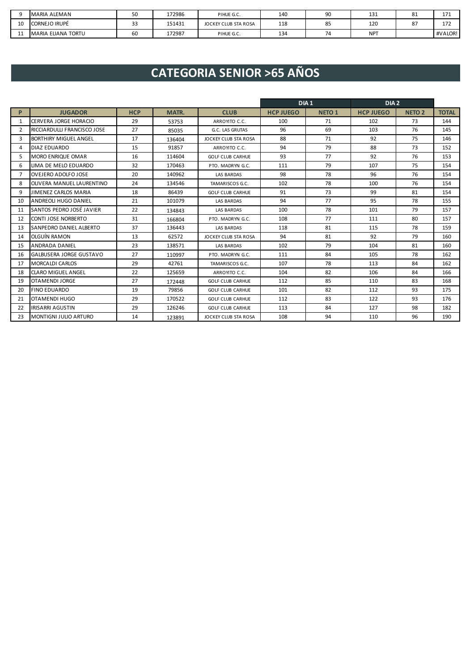|     | <b>MARIA ALEMAN</b>  | 50       | 172986 | PIHUE G.C.           | 140 | 90 | 131        | oд | 171     |
|-----|----------------------|----------|--------|----------------------|-----|----|------------|----|---------|
| 10  | <b>CORNEJO IRUPÉ</b> | ~~<br>33 | 151431 | JOCKEY CLUB STA ROSA | 118 | 85 | 120        | 07 | 172     |
| . . | MARIA ELIANA TORTU   | 60       | 172987 | PIHUE G.C.           | 134 |    | <b>NPT</b> |    | #VALOR! |

## **CATEGORIA SENIOR >65 AÑOS**

|                |                                |            |              |                         | DIA <sub>1</sub> |               | DIA <sub>2</sub> |               |              |
|----------------|--------------------------------|------------|--------------|-------------------------|------------------|---------------|------------------|---------------|--------------|
| P              | <b>JUGADOR</b>                 | <b>HCP</b> | <b>MATR.</b> | <b>CLUB</b>             | <b>HCP JUEGO</b> | <b>NETO 1</b> | <b>HCP JUEGO</b> | <b>NETO 2</b> | <b>TOTAL</b> |
| 1              | <b>CERVERA JORGE HORACIO</b>   | 29         | 53753        | ARROYITO C.C.           | 100              | 71            | 102              | 73            | 144          |
| $\overline{2}$ | RICCIARDULLI FRANCISCO JOSE    | 27         | 85035        | G.C. LAS GRUTAS         | 96               | 69            | 103              | 76            | 145          |
| 3              | <b>BORTHIRY MIGUEL ANGEL</b>   | 17         | 136404       | JOCKEY CLUB STA ROSA    | 88               | 71            | 92               | 75            | 146          |
| 4              | <b>DIAZ EDUARDO</b>            | 15         | 91857        | ARROYITO C.C.           | 94               | 79            | 88               | 73            | 152          |
| 5.             | MORO ENRIQUE OMAR              | 16         | 114604       | <b>GOLF CLUB CARHUE</b> | 93               | 77            | 92               | 76            | 153          |
| 6              | LIMA DE MELO EDUARDO           | 32         | 170463       | PTO. MADRYN G.C.        | 111              | 79            | 107              | 75            | 154          |
| 7              | OVEJERO ADOLFO JOSE            | 20         | 140962       | <b>LAS BARDAS</b>       | 98               | 78            | 96               | 76            | 154          |
| 8              | OLIVERA MANUEL LAURENTINO      | 24         | 134546       | TAMARISCOS G.C.         | 102              | 78            | 100              | 76            | 154          |
| 9              | <b>JIMENEZ CARLOS MARIA</b>    | 18         | 86439        | <b>GOLF CLUB CARHUE</b> | 91               | 73            | 99               | 81            | 154          |
| 10             | <b>ANDREOLI HUGO DANIEL</b>    | 21         | 101079       | <b>LAS BARDAS</b>       | 94               | 77            | 95               | 78            | 155          |
| 11             | SANTOS PEDRO JOSÉ JAVIER       | 22         | 134843       | <b>LAS BARDAS</b>       | 100              | 78            | 101              | 79            | 157          |
| 12             | CONTI JOSE NORBERTO            | 31         | 166804       | PTO. MADRYN G.C.        | 108              | 77            | 111              | 80            | 157          |
| 13             | <b>SANPEDRO DANIEL ALBERTO</b> | 37         | 136443       | <b>LAS BARDAS</b>       | 118              | 81            | 115              | 78            | 159          |
| 14             | OLGUÍN RAMON                   | 13         | 62572        | JOCKEY CLUB STA ROSA    | 94               | 81            | 92               | 79            | 160          |
| 15             | <b>ANDRADA DANIEL</b>          | 23         | 138571       | <b>LAS BARDAS</b>       | 102              | 79            | 104              | 81            | 160          |
| 16             | GALBUSERA JORGE GUSTAVO        | 27         | 110997       | PTO. MADRYN G.C.        | 111              | 84            | 105              | 78            | 162          |
| 17             | <b>MORCALDI CARLOS</b>         | 29         | 42761        | TAMARISCOS G.C.         | 107              | 78            | 113              | 84            | 162          |
| 18             | <b>CLARO MIGUEL ANGEL</b>      | 22         | 125659       | ARROYITO C.C.           | 104              | 82            | 106              | 84            | 166          |
| 19             | OTAMENDI JORGE                 | 27         | 172448       | <b>GOLF CLUB CARHUE</b> | 112              | 85            | 110              | 83            | 168          |
| 20             | <b>FINO EDUARDO</b>            | 19         | 79856        | <b>GOLF CLUB CARHUE</b> | 101              | 82            | 112              | 93            | 175          |
| 21             | OTAMENDI HUGO                  | 29         | 170522       | <b>GOLF CLUB CARHUE</b> | 112              | 83            | 122              | 93            | 176          |
| 22             | <b>IRISARRI AGUSTIN</b>        | 29         | 126246       | <b>GOLF CLUB CARHUE</b> | 113              | 84            | 127              | 98            | 182          |
| 23             | <b>MONTIGNI JULIO ARTURO</b>   | 14         | 123891       | JOCKEY CLUB STA ROSA    | 108              | 94            | 110              | 96            | 190          |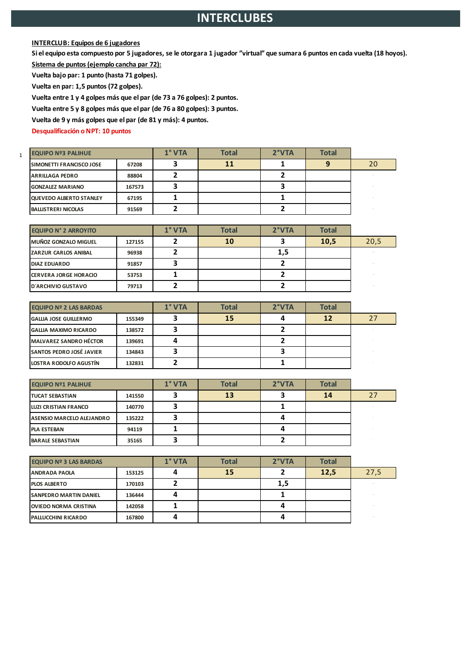#### **INTERCLUBES**

#### **INTERCLUB: Equipos de 6 jugadores**

**Si el equipo esta compuesto por 5 jugadores, se le otorgara 1 jugador "virtual" que sumara 6 puntos en cada vuelta (18 hoyos).**

**Sistema de puntos (ejemplo cancha par 72):**

**Vuelta bajo par: 1 punto (hasta 71 golpes).**

**Vuelta en par: 1,5 puntos (72 golpes).**

**Vuelta entre 1 y 4 golpes más que el par (de 73 a 76 golpes): 2 puntos.**

**Vuelta entre 5 y 8 golpes más que el par (de 76 a 80 golpes): 3 puntos.**

**Vuelta de 9 y más golpes que el par (de 81 y más): 4 puntos.**

**Desqualificación o NPT: 10 puntos**

| <b>EQUIPO Nº3 PALIHUE</b>      |        | $1^\circ$ VTA | <b>Total</b> | 2°VTA | <b>Total</b> |    |  |
|--------------------------------|--------|---------------|--------------|-------|--------------|----|--|
| SIMONETTI FRANCISCO JOSE       | 67208  |               | 11           |       |              | 20 |  |
| <b>ARRILLAGA PEDRO</b>         | 88804  |               |              |       |              |    |  |
| <b>GONZALEZ MARIANO</b>        | 167573 |               |              |       |              |    |  |
| <b>QUEVEDO ALBERTO STANLEY</b> | 67195  |               |              |       |              |    |  |
| <b>BALLISTRERI NICOLAS</b>     | 91569  |               |              |       |              |    |  |

| <b>EQUIPO N° 2 ARROYITO</b>  |        | $1°$ VTA | <b>Total</b> | 2°VTA | <b>Total</b> |      |  |
|------------------------------|--------|----------|--------------|-------|--------------|------|--|
| <b>MUÑOZ GONZALO MIGUEL</b>  | 127155 |          | 10           |       | 10,5         | 20,5 |  |
| <b>ZARZUR CARLOS ANIBAL</b>  | 96938  |          |              | 1,5   |              |      |  |
| <b>DIAZ EDUARDO</b>          | 91857  |          |              |       |              | 188  |  |
| <b>CERVERA JORGE HORACIO</b> | 53753  |          |              |       |              |      |  |
| <b>D'ARCHIVIO GUSTAVO</b>    | 79713  |          |              |       |              |      |  |

| <b>EQUIPO Nº 2 LAS BARDAS</b>   |        | $1^\circ$ VTA | <b>Total</b> | 2°VTA | <b>Total</b> |    |  |
|---------------------------------|--------|---------------|--------------|-------|--------------|----|--|
| <b>GALLIA JOSE GUILLERMO</b>    | 155349 |               | 15           |       | 12           | 27 |  |
| <b>GALLIA MAXIMO RICARDO</b>    | 138572 |               |              |       |              |    |  |
| <b>MALVAREZ SANDRO HÉCTOR</b>   | 139691 |               |              |       |              |    |  |
| <b>SANTOS PEDRO JOSÉ JAVIER</b> | 134843 |               |              |       |              |    |  |
| LOSTRA RODOLFO AGUSTÍN          | 132831 |               |              |       |              |    |  |

| <b>EQUIPO Nº1 PALIHUE</b>        |        | $1°$ VTA | <b>Total</b> | 2°VTA | <b>Total</b> |    |  |
|----------------------------------|--------|----------|--------------|-------|--------------|----|--|
| <b>TUCAT SEBASTIAN</b>           | 141550 |          | 13           |       | 14           | 27 |  |
| <b>LUZI CRISTIAN FRANCO</b>      | 140770 |          |              |       |              |    |  |
| <b>ASENSIO MARCELO ALEJANDRO</b> | 135222 |          |              |       |              |    |  |
| <b>PLA ESTEBAN</b>               | 94119  |          |              |       |              |    |  |
| <b>BARALE SEBASTIAN</b>          | 35165  |          |              |       |              |    |  |

| <b>EQUIPO Nº 3 LAS BARDAS</b> |        | $1^{\circ}$ VTA | <b>Total</b> | 2°VTA | <b>Total</b> |         |  |
|-------------------------------|--------|-----------------|--------------|-------|--------------|---------|--|
| <b>ANDRADA PAOLA</b>          | 153125 |                 | 15           |       | 12,5         | 27,5    |  |
| <b>PLOS ALBERTO</b>           | 170103 |                 |              | 1,5   |              |         |  |
| <b>SANPEDRO MARTIN DANIEL</b> | 136444 |                 |              |       |              | 113     |  |
| <b>OVIEDO NORMA CRISTINA</b>  | 142058 |                 |              |       |              | 113     |  |
| <b>PALLUCCHINI RICARDO</b>    | 167800 |                 |              |       |              | $-4.74$ |  |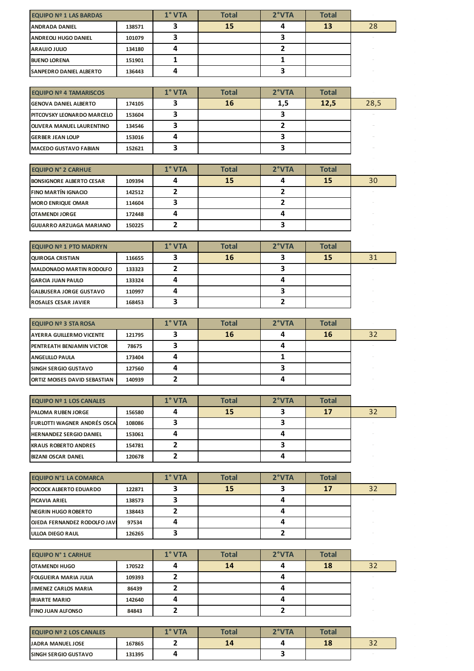| <b>EQUIPO Nº 1 LAS BARDAS</b>  |        | $1°$ VTA<br><b>Total</b> |    | 2°VTA<br><b>Total</b> |    |    |
|--------------------------------|--------|--------------------------|----|-----------------------|----|----|
| <b>ANDRADA DANIEL</b>          | 138571 |                          | 15 |                       | 13 | 28 |
| <b>ANDREOLI HUGO DANIEL</b>    | 101079 |                          |    |                       |    |    |
| <b>ARAUJO JULIO</b>            | 134180 |                          |    |                       |    |    |
| <b>BUENO LORENA</b>            | 151901 |                          |    |                       |    |    |
| <b>SANPEDRO DANIEL ALBERTO</b> | 136443 |                          |    |                       |    |    |

| <b>EQUIPO Nº 4 TAMARISCOS</b>     |        | $1^\circ$ VTA | <b>Total</b> | 2°VTA | Total |      |
|-----------------------------------|--------|---------------|--------------|-------|-------|------|
| <b>GENOVA DANIEL ALBERTO</b>      | 174105 |               | 16           | 1,5   | 12,5  | 28,5 |
| <b>PITCOVSKY LEONARDO MARCELO</b> | 153604 |               |              |       |       |      |
| <b>OLIVERA MANUEL LAURENTINO</b>  | 134546 |               |              |       |       |      |
| <b>GERBER JEAN LOUP</b>           | 153016 |               |              |       |       |      |
| <b>MACEDO GUSTAVO FABIAN</b>      | 152621 |               |              |       |       |      |

| <b>EQUIPO N° 2 CARHUE</b>       |        | $1^{\circ}$ VTA | <b>Total</b> | 2°VTA | <b>Total</b> |    |
|---------------------------------|--------|-----------------|--------------|-------|--------------|----|
| <b>BONSIGNORE ALBERTO CESAR</b> | 109394 |                 | 15           |       | 15           | 30 |
| <b>FINO MARTÍN IGNACIO</b>      | 142512 |                 |              |       |              |    |
| <b>MORO ENRIQUE OMAR</b>        | 114604 |                 |              |       |              |    |
| <b>OTAMENDI JORGE</b>           | 172448 |                 |              |       |              |    |
| <b>GUIJARRO ARZUAGA MARIANO</b> | 150225 |                 |              |       |              |    |

| <b>EQUIPO Nº 1 PTO MADRYN</b>   |        | $1^{\circ}$ VTA | <b>Total</b> | 2°VTA | <b>Total</b> |    |
|---------------------------------|--------|-----------------|--------------|-------|--------------|----|
| <b>QUIROGA CRISTIAN</b>         | 116655 |                 | 16           |       | 15           | 31 |
| <b>MALDONADO MARTIN RODOLFO</b> | 133323 |                 |              |       |              |    |
| <b>GARCIA JUAN PAULO</b>        | 133324 |                 |              |       |              |    |
| <b>GALBUSERA JORGE GUSTAVO</b>  | 110997 |                 |              |       |              |    |
| <b>ROSALES CESAR JAVIER</b>     | 168453 |                 |              |       |              |    |

| <b>EQUIPO Nº 3 STA ROSA</b>         |        | $1^\circ$ VTA | <b>Total</b> | 2°VTA | <b>Total</b> |    |  |
|-------------------------------------|--------|---------------|--------------|-------|--------------|----|--|
| <b>AYERRA GUILLERMO VICENTE</b>     | 121795 |               | 16           |       | 16           | 32 |  |
| <b>PENTREATH BENJAMIN VICTOR</b>    | 78675  |               |              |       |              |    |  |
| <b>ANGELILLO PAULA</b>              | 173404 |               |              |       |              |    |  |
| <b>ISINGH SERGIO GUSTAVO</b>        | 127560 |               |              |       |              |    |  |
| <b>ORTIZ MOISES DAVID SEBASTIAN</b> | 140939 |               |              |       |              |    |  |

| EQUIPO Nº 1 LOS CANALES            |        | $1^\circ$ VTA | <b>Total</b> | 2°VTA | Total |    |  |
|------------------------------------|--------|---------------|--------------|-------|-------|----|--|
| <b>PALOMA RUBEN JORGE</b>          | 156580 |               | 15           |       | 17    | 32 |  |
| <b>FURLOTTI WAGNER ANDRÉS OSCA</b> | 108086 |               |              |       |       |    |  |
| <b>HERNANDEZ SERGIO DANIEL</b>     | 153061 |               |              |       |       |    |  |
| <b>KRAUS ROBERTO ANDRES</b>        | 154781 |               |              |       |       |    |  |
| <b>BIZANI OSCAR DANEL</b>          | 120678 |               |              |       |       |    |  |

| <b>EQUIPO N°1 LA COMARCA</b>        |        | $1°$ VTA | <b>Total</b> | 2°VTA | <b>Total</b> |    |  |
|-------------------------------------|--------|----------|--------------|-------|--------------|----|--|
| <b>POCOCK ALBERTO EDUARDO</b>       | 122871 |          | 15           |       | 17           | 32 |  |
| <b>PICAVIA ARIEL</b>                | 138573 |          |              |       |              |    |  |
| <b>INEGRIN HUGO ROBERTO</b>         | 138443 |          |              |       |              |    |  |
| <b>OJEDA FERNANDEZ RODOLFO JAVI</b> | 97534  |          |              |       |              |    |  |
| <b>ULLOA DIEGO RAUL</b>             | 126265 |          |              |       |              |    |  |

| <b>EQUIPO N° 1 CARHUE</b>    |        | $1^\circ$ VTA | <b>Total</b> | 2°VTA | Total |    |  |
|------------------------------|--------|---------------|--------------|-------|-------|----|--|
| <b>OTAMENDI HUGO</b>         | 170522 |               | 14           |       | 18    | 32 |  |
| <b>FOLGUEIRA MARIA JULIA</b> | 109393 |               |              |       |       |    |  |
| <b>JIMENEZ CARLOS MARIA</b>  | 86439  |               |              |       |       |    |  |
| <b>IRIARTE MARIO</b>         | 142640 |               |              |       |       |    |  |
| <b>FINO JUAN ALFONSO</b>     | 84843  |               |              |       |       |    |  |

| <b>EQUIPO Nº 2 LOS CANALES</b> |        | <b>1° VTA</b> | <b>Total</b> | 2°VTA | Total |                      |  |
|--------------------------------|--------|---------------|--------------|-------|-------|----------------------|--|
| <b>JADRA MANUEL JOSE</b>       | 167865 |               | 14           |       | 18    | $\mathcal{L}$<br>ے ر |  |
| <b>ISINGH SERGIO GUSTAVO</b>   | 131395 |               |              |       |       |                      |  |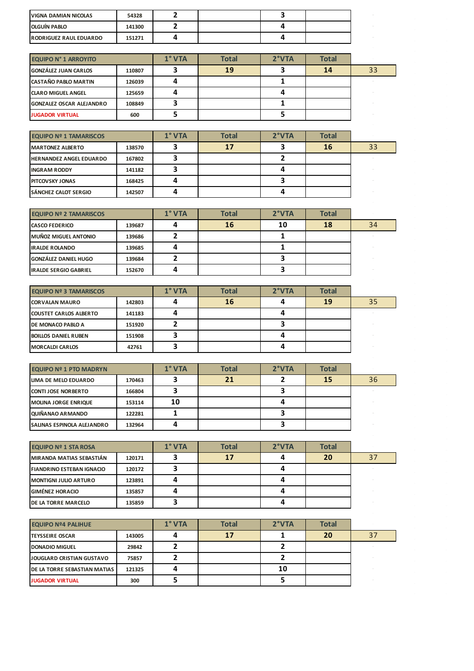| VIGNA DAMIAN NICOLAS          | 54328  |  |  |  |
|-------------------------------|--------|--|--|--|
| <b>OLGUÍN PABLO</b>           | 141300 |  |  |  |
| <b>RODRIGUEZ RAUL EDUARDO</b> | 151271 |  |  |  |

| <b>EQUIPO N° 1 ARROYITO</b>     |        | $1^\circ$ VTA | <b>Total</b> | 2°VTA | <b>Total</b> |    |  |
|---------------------------------|--------|---------------|--------------|-------|--------------|----|--|
| <b>GONZÁLEZ JUAN CARLOS</b>     | 110807 |               | 19           |       | 14           | 33 |  |
| <b>CASTAÑO PABLO MARTIN</b>     | 126039 |               |              |       |              |    |  |
| <b>CLARO MIGUEL ANGEL</b>       | 125659 |               |              |       |              |    |  |
| <b>GONZALEZ OSCAR ALEJANDRO</b> | 108849 |               |              |       |              |    |  |
| <b>JUGADOR VIRTUAL</b>          | 600    |               |              |       |              |    |  |

| <b>EQUIPO Nº 1 TAMARISCOS</b>  |        | $1°$ VTA | <b>Total</b> | 2°VTA | <b>Total</b> |    |  |
|--------------------------------|--------|----------|--------------|-------|--------------|----|--|
| <b>MARTONEZ ALBERTO</b>        | 138570 |          | 17           |       | 16           | 33 |  |
| <b>HERNANDEZ ANGEL EDUARDO</b> | 167802 |          |              |       |              |    |  |
| <b>INGRAM RODDY</b>            | 141182 |          |              |       |              |    |  |
| <b>PITCOVSKY JONAS</b>         | 168425 |          |              |       |              |    |  |
| <b>SÁNCHEZ CALOT SERGIO</b>    | 142507 |          |              |       |              |    |  |

| <b>EQUIPO Nº 2 TAMARISCOS</b> |        | $1°$ VTA | <b>Total</b> | 2°VTA | <b>Total</b> |    |  |
|-------------------------------|--------|----------|--------------|-------|--------------|----|--|
| <b>CASCO FEDERICO</b>         | 139687 |          | 16           | 10    | 18           | 34 |  |
| <b>MUÑOZ MIGUEL ANTONIO</b>   | 139686 |          |              |       |              |    |  |
| <b>IRALDE ROLANDO</b>         | 139685 |          |              |       |              |    |  |
| <b>GONZÁLEZ DANIEL HUGO</b>   | 139684 |          |              |       |              |    |  |
| <b>IRALDE SERGIO GABRIEL</b>  | 152670 |          |              |       |              |    |  |

| <b>EQUIPO Nº 3 TAMARISCOS</b> |        | $1^\circ$ VTA | <b>Total</b> | 2°VTA | Total |    |  |
|-------------------------------|--------|---------------|--------------|-------|-------|----|--|
| <b>CORVALAN MAURO</b>         | 142803 |               | 16           |       | 19    | 35 |  |
| <b>COUSTET CARLOS ALBERTO</b> | 141183 |               |              |       |       |    |  |
| DE MONACO PABLO A             | 151920 |               |              |       |       |    |  |
| <b>BOILLOS DANIEL RUBEN</b>   | 151908 |               |              |       |       |    |  |
| <b>MORCALDI CARLOS</b>        | 42761  |               |              |       |       |    |  |

| <b>EQUIPO Nº 1 PTO MADRYN</b>     |        | $1^\circ$ VTA | <b>Total</b> | 2°VTA | <b>Total</b> |    |  |
|-----------------------------------|--------|---------------|--------------|-------|--------------|----|--|
| LIMA DE MELO EDUARDO              | 170463 |               | 21           |       | 15           | 36 |  |
| <b>CONTI JOSE NORBERTO</b>        | 166804 |               |              |       |              |    |  |
| <b>MOLINA JORGE ENRIQUE</b>       | 153114 | 10            |              |       |              |    |  |
| QUIÑANAO ARMANDO                  | 122281 |               |              |       |              |    |  |
| <b>SALINAS ESPINOLA ALEJANDRO</b> | 132964 |               |              |       |              |    |  |

| <b>EQUIPO Nº 1 STA ROSA</b>      |        | $1^\circ$ VTA | <b>Total</b> | 2°VTA | Total |    |  |
|----------------------------------|--------|---------------|--------------|-------|-------|----|--|
| <b>MIRANDA MATIAS SEBASTIÁN</b>  | 120171 |               | 17           |       | 20    | 37 |  |
| <b>FIANDRINO ESTEBAN IGNACIO</b> | 120172 |               |              |       |       |    |  |
| <b>MONTIGNI JULIO ARTURO</b>     | 123891 |               |              |       |       |    |  |
| <b>GIMÉNEZ HORACIO</b>           | 135857 |               |              |       |       |    |  |
| DE LA TORRE MARCELO              | 135859 |               |              |       |       |    |  |

| <b>EQUIPO Nº4 PALIHUE</b>    |        | $1°$ VTA | <b>Total</b> | 2°VTA | <b>Total</b> |    |  |
|------------------------------|--------|----------|--------------|-------|--------------|----|--|
| <b>TEYSSEIRE OSCAR</b>       | 143005 |          | 17           |       | 20           | 37 |  |
| <b>DONADIO MIGUEL</b>        | 29842  |          |              |       |              |    |  |
| JOUGLARD CRISTIAN GUSTAVO    | 75857  |          |              |       |              |    |  |
| DE LA TORRE SEBASTIAN MATIAS | 121325 |          |              | 10    |              |    |  |
| <b>JUGADOR VIRTUAL</b>       | 300    |          |              |       |              |    |  |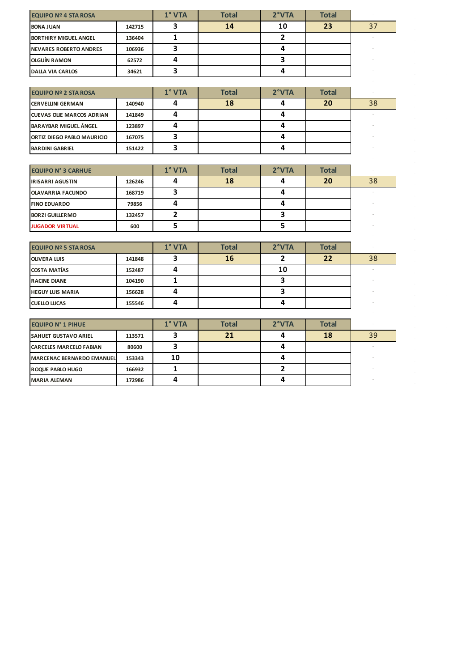| <b>EQUIPO Nº 4 STA ROSA</b>   |        | $1°$ VTA | <b>Total</b> | 2°VTA | <b>Total</b> |    |  |
|-------------------------------|--------|----------|--------------|-------|--------------|----|--|
| <b>BONA JUAN</b>              | 142715 |          | 14           | 10    | 23           | 37 |  |
| <b>BORTHIRY MIGUEL ANGEL</b>  | 136404 |          |              |       |              |    |  |
| <b>NEVARES ROBERTO ANDRES</b> | 106936 |          |              |       |              |    |  |
| <b>OLGUÍN RAMON</b>           | 62572  |          |              |       |              |    |  |
| <b>DALLA VIA CARLOS</b>       | 34621  |          |              |       |              |    |  |

| <b>EQUIPO Nº 2 STA ROSA</b>       |        | $1^{\circ}$ VTA | <b>Total</b> | 2°VTA | <b>Total</b> |    |  |
|-----------------------------------|--------|-----------------|--------------|-------|--------------|----|--|
| <b>CERVELLINI GERMAN</b>          | 140940 |                 | 18           |       | 20           | 38 |  |
| <b>CUEVAS OLIE MARCOS ADRIAN</b>  | 141849 |                 |              |       |              |    |  |
| <b>BARAYBAR MIGUEL ÁNGEL</b>      | 123897 |                 |              |       |              |    |  |
| <b>ORTIZ DIEGO PABLO MAURICIO</b> | 167075 |                 |              |       |              |    |  |
| <b>BARDINI GABRIEL</b>            | 151422 |                 |              |       |              |    |  |

| <b>EQUIPO N° 3 CARHUE</b> |        | $1°$ VTA | <b>Total</b> | 2°VTA | <b>Total</b> |    |  |
|---------------------------|--------|----------|--------------|-------|--------------|----|--|
| <b>IRISARRI AGUSTIN</b>   | 126246 |          | 18           |       | 20           | 38 |  |
| <b>OLAVARRIA FACUNDO</b>  | 168719 |          |              |       |              |    |  |
| <b>FINO EDUARDO</b>       | 79856  |          |              |       |              |    |  |
| <b>BORZI GUILLERMO</b>    | 132457 |          |              |       |              |    |  |
| <b>JUGADOR VIRTUAL</b>    | 600    |          |              |       |              |    |  |

| <b>EQUIPO Nº 5 STA ROSA</b> |        | $1^{\circ}$ VTA | <b>Total</b> | 2°VTA | <b>Total</b> |    |  |
|-----------------------------|--------|-----------------|--------------|-------|--------------|----|--|
| <b>OLIVERA LUIS</b>         | 141848 |                 | 16           |       | 22           | 38 |  |
| <b>COSTA MATÍAS</b>         | 152487 |                 |              | 10    |              |    |  |
| <b>RACINE DIANE</b>         | 104190 |                 |              |       |              |    |  |
| <b>HEGUY LUIS MARIA</b>     | 156628 |                 |              |       |              |    |  |
| <b>CUELLO LUCAS</b>         | 155546 |                 |              |       |              |    |  |

| <b>EQUIPO N° 1 PIHUE</b>         |        | $1^{\circ}$ VTA | <b>Total</b> | 2°VTA | <b>Total</b> |    |  |
|----------------------------------|--------|-----------------|--------------|-------|--------------|----|--|
| <b>SAHUET GUSTAVO ARIEL</b>      | 113571 |                 | 21           |       | 18           | 39 |  |
| <b>CARCELES MARCELO FABIAN</b>   | 80600  |                 |              |       |              |    |  |
| <b>MARCENAC BERNARDO EMANUEL</b> | 153343 | 10              |              |       |              |    |  |
| <b>ROQUE PABLO HUGO</b>          | 166932 |                 |              |       |              |    |  |
| <b>MARIA ALEMAN</b>              | 172986 |                 |              |       |              |    |  |